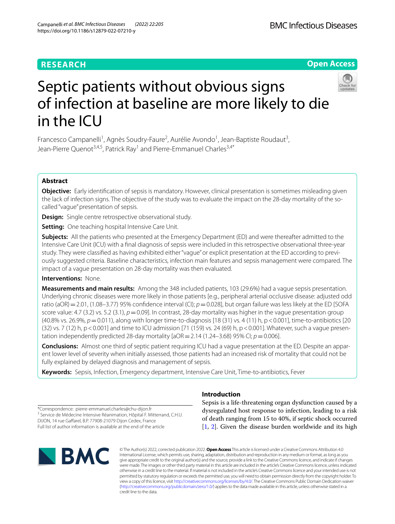#### **RESEARCH**

**Open Access**

## Septic patients without obvious signs of infection at baseline are more likely to die in the ICU



Francesco Campanelli<sup>1</sup>, Agnès Soudry-Faure<sup>2</sup>, Aurélie Avondo<sup>1</sup>, Jean-Baptiste Roudaut<sup>3</sup>, Jean-Pierre Quenot<sup>3,4,5</sup>, Patrick Ray<sup>1</sup> and Pierre-Emmanuel Charles<sup>3,4\*</sup>

#### **Abstract**

**Objective:** Early identifcation of sepsis is mandatory. However, clinical presentation is sometimes misleading given the lack of infection signs. The objective of the study was to evaluate the impact on the 28-day mortality of the socalled "vague" presentation of sepsis.

**Design:** Single centre retrospective observational study.

**Setting:** One teaching hospital Intensive Care Unit.

**Subjects:** All the patients who presented at the Emergency Department (ED) and were thereafter admitted to the Intensive Care Unit (ICU) with a fnal diagnosis of sepsis were included in this retrospective observational three-year study. They were classified as having exhibited either "vague" or explicit presentation at the ED according to previously suggested criteria. Baseline characteristics, infection main features and sepsis management were compared. The impact of a vague presentation on 28-day mortality was then evaluated.

#### **Interventions:** None.

**Measurements and main results:** Among the 348 included patients, 103 (29.6%) had a vague sepsis presentation. Underlying chronic diseases were more likely in those patients [e.g., peripheral arterial occlusive disease: adjusted odd ratio (aOR) = 2.01, (1.08–3.77) 95% confidence interval (CI);  $p=0.028$ ], but organ failure was less likely at the ED [SOFA score value: 4.7 (3.2) vs. 5.2 (3.1),  $p=0.09$ ]. In contrast, 28-day mortality was higher in the vague presentation group (40.8% vs. 26.9%, *p*=0.011), along with longer time-to-diagnosis [18 (31) vs. 4 (11) h, p<0.001], time-to-antibiotics [20 (32) vs. 7 (12) h, p < 0.001] and time to ICU admission [71 (159) vs. 24 (69) h, p < 0.001]. Whatever, such a vague presentation independently predicted 28-day mortality  $[aOR = 2.14 (1.24-3.68) 95\% C]$ ;  $p = 0.006$ ].

**Conclusions:** Almost one third of septic patient requiring ICU had a vague presentation at the ED. Despite an apparent lower level of severity when initially assessed, those patients had an increased risk of mortality that could not be fully explained by delayed diagnosis and management of sepsis.

**Keywords:** Sepsis, Infection, Emergency department, Intensive Care Unit, Time-to-antibiotics, Fever

\*Correspondence: pierre-emmanuel.charles@chu-dijon.fr <sup>3</sup> Service de Médecine Intensive Réanimation, Hôpital F. Mitterrand, C.H.U. DIJON, 14 rue Gafarel, B.P. 77908‑21079 Dijon Cedex, France Full list of author information is available at the end of the article

# **NBMC**

#### **Introduction**

Sepsis is a life-threatening organ dysfunction caused by a dysregulated host response to infection, leading to a risk of death ranging from 15 to 40%, if septic shock occurred [[1,](#page-6-0) [2](#page-6-1)]. Given the disease burden worldwide and its high

© The Author(s) 2022, corrected publication 2022. **Open Access** This article is licensed under a Creative Commons Attribution 4.0 International License, which permits use, sharing, adaptation, distribution and reproduction in any medium or format, as long as you give appropriate credit to the original author(s) and the source, provide a link to the Creative Commons licence, and indicate if changes were made. The images or other third party material in this article are included in the article's Creative Commons licence, unless indicated otherwise in a credit line to the material. If material is not included in the article's Creative Commons licence and your intended use is not permitted by statutory regulation or exceeds the permitted use, you will need to obtain permission directly from the copyright holder. To view a copy of this licence, visit [http://creativecommons.org/licenses/by/4.0/.](http://creativecommons.org/licenses/by/4.0/) The Creative Commons Public Domain Dedication waiver [\(http://creativecommons.org/publicdomain/zero/1.0/\)](http://creativecommons.org/publicdomain/zero/1.0/) applies to the data made available in this article, unless otherwise stated in a credit line to the data.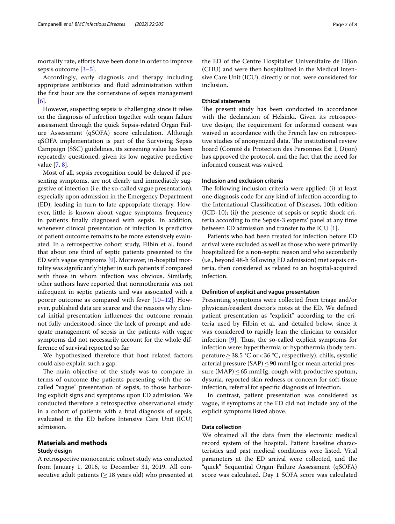mortality rate, efforts have been done in order to improve sepsis outcome [\[3](#page-6-2)[–5](#page-6-3)].

Accordingly, early diagnosis and therapy including appropriate antibiotics and fuid administration within the frst hour are the cornerstone of sepsis management [[6\]](#page-6-4).

However, suspecting sepsis is challenging since it relies on the diagnosis of infection together with organ failure assessment through the quick Sepsis-related Organ Failure Assessment (qSOFA) score calculation. Although qSOFA implementation is part of the Surviving Sepsis Campaign (SSC) guidelines, its screening value has been repeatedly questioned, given its low negative predictive value [[7,](#page-6-5) [8](#page-6-6)].

Most of all, sepsis recognition could be delayed if presenting symptoms, are not clearly and immediately suggestive of infection (i.e. the so-called vague presentation), especially upon admission in the Emergency Department (ED), leading in turn to late appropriate therapy. However, little is known about vague symptoms frequency in patients fnally diagnosed with sepsis. In addition, whenever clinical presentation of infection is predictive of patient outcome remains to be more extensively evaluated. In a retrospective cohort study, Filbin et al. found that about one third of septic patients presented to the ED with vague symptoms [\[9](#page-6-7)]. Moreover, in-hospital mortality was signifcantly higher in such patients if compared with those in whom infection was obvious. Similarly, other authors have reported that normothermia was not infrequent in septic patients and was associated with a poorer outcome as compared with fever [[10](#page-6-8)[–12](#page-6-9)]. However, published data are scarce and the reasons why clinical initial presentation infuences the outcome remain not fully understood, since the lack of prompt and adequate management of sepsis in the patients with vague symptoms did not necessarily account for the whole difference of survival reported so far.

We hypothesized therefore that host related factors could also explain such a gap.

The main objective of the study was to compare in terms of outcome the patients presenting with the socalled "vague" presentation of sepsis, to those harbouring explicit signs and symptoms upon ED admission. We conducted therefore a retrospective observational study in a cohort of patients with a fnal diagnosis of sepsis, evaluated in the ED before Intensive Care Unit (ICU) admission.

#### **Materials and methods**

#### **Study design**

A retrospective monocentric cohort study was conducted from January 1, 2016, to December 31, 2019. All consecutive adult patients ( $\geq$  18 years old) who presented at the ED of the Centre Hospitalier Universitaire de Dijon (CHU) and were then hospitalized in the Medical Intensive Care Unit (ICU), directly or not, were considered for inclusion.

#### **Ethical statements**

The present study has been conducted in accordance with the declaration of Helsinki. Given its retrospective design, the requirement for informed consent was waived in accordance with the French law on retrospective studies of anonymized data. The institutional review board (Comité de Protection des Personnes Est I, Dijon) has approved the protocol, and the fact that the need for informed consent was waived.

#### **Inclusion and exclusion criteria**

The following inclusion criteria were applied: (i) at least one diagnosis code for any kind of infection according to the International Classifcation of Diseases, 10th edition (ICD-10); (ii) the presence of sepsis or septic shock criteria according to the Sepsis-3 experts' panel at any time between ED admission and transfer to the ICU [\[1](#page-6-0)].

Patients who had been treated for infection before ED arrival were excluded as well as those who were primarily hospitalized for a non-septic reason and who secondarily (i.e., beyond 48-h following ED admission) met sepsis criteria, then considered as related to an hospital-acquired infection.

#### **Defnition of explicit and vague presentation**

Presenting symptoms were collected from triage and/or physician/resident doctor's notes at the ED. We defned patient presentation as "explicit" according to the criteria used by Filbin et al. and detailed below, since it was considered to rapidly lean the clinician to consider infection  $[9]$  $[9]$ . Thus, the so-called explicit symptoms for infection were: hyperthermia or hypothermia (body temperature  $\geq$  38.5 °C or < 36 °C, respectively), chills, systolic arterial pressure (SAP)  $\leq$  90 mmHg or mean arterial pressure (MAP)  $\leq$  65 mmHg, cough with productive sputum, dysuria, reported skin redness or concern for soft-tissue infection, referral for specifc diagnosis of infection.

In contrast, patient presentation was considered as vague, if symptoms at the ED did not include any of the explicit symptoms listed above.

#### **Data collection**

We obtained all the data from the electronic medical record system of the hospital. Patient baseline characteristics and past medical conditions were listed. Vital parameters at the ED arrival were collected, and the "quick" Sequential Organ Failure Assessment (qSOFA) score was calculated. Day 1 SOFA score was calculated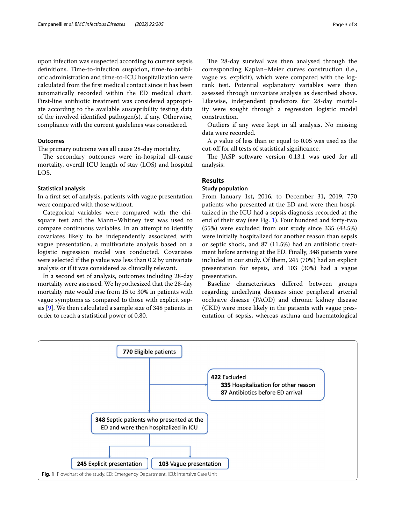upon infection was suspected according to current sepsis defnitions. Time-to-infection suspicion, time-to-antibiotic administration and time-to-ICU hospitalization were calculated from the frst medical contact since it has been automatically recorded within the ED medical chart. First-line antibiotic treatment was considered appropriate according to the available susceptibility testing data of the involved identifed pathogen(s), if any. Otherwise, compliance with the current guidelines was considered.

#### **Outcomes**

The primary outcome was all cause 28-day mortality.

The secondary outcomes were in-hospital all-cause mortality, overall ICU length of stay (LOS) and hospital LOS.

#### **Statistical analysis**

In a frst set of analysis, patients with vague presentation were compared with those without.

Categorical variables were compared with the chisquare test and the Mann–Whitney test was used to compare continuous variables. In an attempt to identify covariates likely to be independently associated with vague presentation, a multivariate analysis based on a logistic regression model was conducted. Covariates were selected if the p value was less than 0.2 by univariate analysis or if it was considered as clinically relevant.

In a second set of analysis, outcomes including 28-day mortality were assessed. We hypothesized that the 28-day mortality rate would rise from 15 to 30% in patients with vague symptoms as compared to those with explicit sepsis [\[9](#page-6-7)]. We then calculated a sample size of 348 patients in order to reach a statistical power of 0.80.

The 28-day survival was then analysed through the corresponding Kaplan–Meier curves construction (i.e., vague vs. explicit), which were compared with the logrank test. Potential explanatory variables were then assessed through univariate analysis as described above. Likewise, independent predictors for 28-day mortality were sought through a regression logistic model construction.

Outliers if any were kept in all analysis. No missing data were recorded.

A *p* value of less than or equal to 0.05 was used as the cut-of for all tests of statistical signifcance.

The JASP software version 0.13.1 was used for all analysis.

#### **Results**

#### **Study population**

From January 1st, 2016, to December 31, 2019, 770 patients who presented at the ED and were then hospitalized in the ICU had a sepsis diagnosis recorded at the end of their stay (see Fig. [1\)](#page-2-0). Four hundred and forty-two (55%) were excluded from our study since 335 (43.5%) were initially hospitalized for another reason than sepsis or septic shock, and 87 (11.5%) had an antibiotic treatment before arriving at the ED. Finally, 348 patients were included in our study. Of them, 245 (70%) had an explicit presentation for sepsis, and 103 (30%) had a vague presentation.

Baseline characteristics difered between groups regarding underlying diseases since peripheral arterial occlusive disease (PAOD) and chronic kidney disease (CKD) were more likely in the patients with vague presentation of sepsis, whereas asthma and haematological

<span id="page-2-0"></span>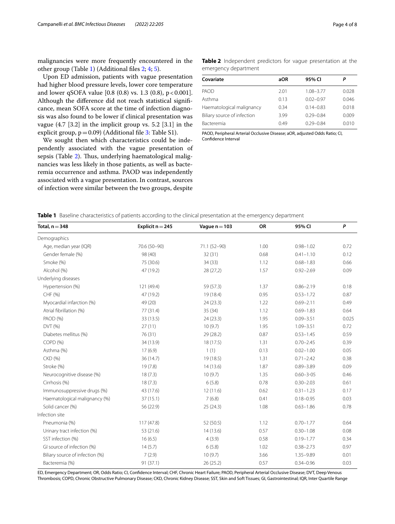malignancies were more frequently encountered in the other group (Table [1](#page-3-0)) (Additional fles [2](#page-6-10); [4;](#page-6-11) [5](#page-6-12)).

Upon ED admission, patients with vague presentation had higher blood pressure levels, lower core temperature and lower qSOFA value  $[0.8 (0.8) \text{ vs. } 1.3 (0.8), \text{ p} < 0.001].$ Although the diference did not reach statistical signifcance, mean SOFA score at the time of infection diagnosis was also found to be lower if clinical presentation was vague (4.7 [3.2] in the implicit group vs. 5.2 [3.1] in the explicit group,  $p=0.09$ ) (Additional file [3](#page-6-13): Table S1).

We sought then which characteristics could be independently associated with the vague presentation of sepsis (Table [2\)](#page-3-1). Thus, underlying haematological malignancies was less likely in those patients, as well as bacteremia occurrence and asthma. PAOD was independently associated with a vague presentation. In contrast, sources of infection were similar between the two groups, despite <span id="page-3-1"></span>**Table 2** Independent predictors for vague presentation at the emergency department

| Covariate                   | aOR  | 95% CI        | P     |
|-----------------------------|------|---------------|-------|
| PAOD                        | 2.01 | $1.08 - 3.77$ | 0.028 |
| Asthma                      | 0.13 | $0.02 - 0.97$ | 0.046 |
| Haematological malignancy   | 0.34 | $0.14 - 0.83$ | 0.018 |
| Biliary source of infection | 3.99 | $0.29 - 0.84$ | 0.009 |
| Bacteremia                  | 0.49 | $0.29 - 0.84$ | 0.010 |

PAOD, Peripheral Arterial Occlusive Disease; aOR, adjusted Odds Ratio; CI, Confdence Interval

<span id="page-3-0"></span>**Table 1** Baseline characteristics of patients according to the clinical presentation at the emergency department

| Total, $n = 348$                | Explicit $n = 245$ | Vague $n = 103$ | OR   | 95% CI          | P     |
|---------------------------------|--------------------|-----------------|------|-----------------|-------|
| Demographics                    |                    |                 |      |                 |       |
| Age, median year (IQR)          | 70.6 (50-90)       | 71.1 (52-90)    | 1.00 | $0.98 - 1.02$   | 0.72  |
| Gender female (%)               | 98 (40)            | 32(31)          | 0.68 | $0.41 - 1.10$   | 0.12  |
| Smoke (%)                       | 75 (30.6)          | 34(33)          | 1.12 | $0.68 - 1.83$   | 0.66  |
| Alcohol (%)                     | 47 (19.2)          | 28(27,2)        | 1.57 | $0.92 - 2.69$   | 0.09  |
| Underlying diseases             |                    |                 |      |                 |       |
| Hypertension (%)                | 121 (49.4)         | 59 (57.3)       | 1.37 | $0.86 - 2.19$   | 0.18  |
| CHF (%)                         | 47 (19.2)          | 19 (18.4)       | 0.95 | $0.53 - 1.72$   | 0.87  |
| Myocardial infarction (%)       | 49 (20)            | 24(23.3)        | 1.22 | $0.69 - 2.11$   | 0.49  |
| Atrial fibrillation (%)         | 77 (31.4)          | 35 (34)         | 1.12 | $0.69 - 1.83$   | 0.64  |
| PAOD (%)                        | 33 (13.5)          | 24(23.3)        | 1.95 | $0.09 - 3.51$   | 0.025 |
| DVT(%)                          | 27(11)             | 10(9.7)         | 1.95 | $1.09 - 3.51$   | 0.72  |
| Diabetes mellitus (%)           | 76 (31)            | 29 (28.2)       | 0.87 | $0.53 - 1.45$   | 0.59  |
| COPD (%)                        | 34 (13.9)          | 18(17.5)        | 1.31 | $0.70 - 2.45$   | 0.39  |
| Asthma (%)                      | 17(6.9)            | 1(1)            | 0.13 | $0.02 - 1.00$   | 0.05  |
| CKD (%)                         | 36 (14.7)          | 19 (18.5)       | 1.31 | $0.71 - 2.42$   | 0.38  |
| Stroke (%)                      | 19(7.8)            | 14(13.6)        | 1.87 | $0.89 - 3.89$   | 0.09  |
| Neurocognitive disease (%)      | 18(7.3)            | 10(9.7)         | 1.35 | $0.60 - 3 - 05$ | 0.46  |
| Cirrhosis (%)                   | 18(7.3)            | 6(5.8)          | 0.78 | $0.30 - 2.03$   | 0.61  |
| Immunosuppressive drugs (%)     | 43 (17.6)          | 12(11.6)        | 0.62 | $0.31 - 1.23$   | 0.17  |
| Haematological malignancy (%)   | 37(15.1)           | 7(6.8)          | 0.41 | $0.18 - 0.95$   | 0.03  |
| Solid cancer (%)                | 56 (22.9)          | 25(24.3)        | 1.08 | $0.63 - 1.86$   | 0.78  |
| Infection site                  |                    |                 |      |                 |       |
| Pneumonia (%)                   | 117(47.8)          | 52(50.5)        | 1.12 | $0.70 - 1.77$   | 0.64  |
| Urinary tract infection (%)     | 53 (21.6)          | 14(13.6)        | 0.57 | $0.30 - 1.08$   | 0.08  |
| SST infection (%)               | 16(6.5)            | 4(3.9)          | 0.58 | $0.19 - 1.77$   | 0.34  |
| GI source of infection (%)      | 14(5.7)            | 6(5.8)          | 1.02 | $0.38 - 2.73$   | 0.97  |
| Biliary source of infection (%) | 7(2.9)             | 10(9.7)         | 3.66 | 1.35-9.89       | 0.01  |
| Bacteremia (%)                  | 91(37.1)           | 26(25.2)        | 0.57 | $0.34 - 0.96$   | 0.03  |

ED, Emergency Department; OR, Odds Ratio; CI, Confdence Interval; CHF, Chronic Heart Failure; PAOD, Peripheral Arterial Occlusive Disease; DVT, Deep Venous Thrombosis; COPD, Chronic Obstructive Pulmonary Disease; CKD, Chronic Kidney Disease; SST, Skin and Soft Tissues; GI, Gastrointestinal; IQR, Inter Quartile Range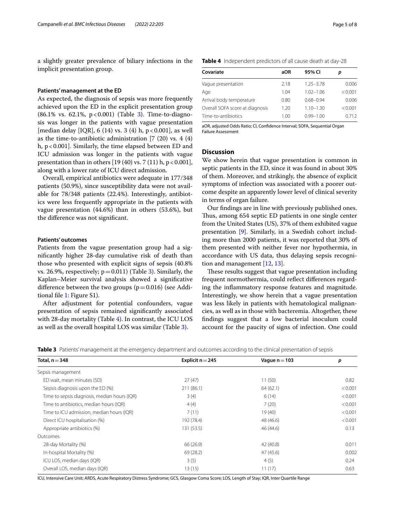a slightly greater prevalence of biliary infections in the implicit presentation group.

#### **Patients' management at the ED**

As expected, the diagnosis of sepsis was more frequently achieved upon the ED in the explicit presentation group  $(86.1\% \text{ vs. } 62.1\%, \text{ p} < 0.001)$  (Table [3](#page-4-0)). Time-to-diagnosis was longer in the patients with vague presentation [median delay [IQR], 6 (14) vs. 3 (4) h,  $p < 0.001$ ], as well as the time-to-antibiotic administration [7 (20) vs. 4 (4) h,  $p < 0.001$ ]. Similarly, the time elapsed between ED and ICU admission was longer in the patients with vague presentation than in others  $[19 (40)$  vs. 7  $(11)$  h, p < 0.001], along with a lower rate of ICU direct admission.

Overall, empirical antibiotics were adequate in 177/348 patients (50.9%), since susceptibility data were not available for 78/348 patients (22.4%). Interestingly, antibiotics were less frequently appropriate in the patients with vague presentation (44.6%) than in others (53.6%), but the diference was not signifcant.

#### **Patients' outcomes**

Patients from the vague presentation group had a signifcantly higher 28-day cumulative risk of death than those who presented with explicit signs of sepsis (40.8% vs. 26.9%, respectively;  $p=0.011$ ) (Table [3\)](#page-4-0). Similarly, the Kaplan–Meier survival analysis showed a signifcative difference between the two groups  $(p=0.016)$  (see Additional fle [1](#page-6-14): Figure S1).

After adjustment for potential confounders, vague presentation of sepsis remained signifcantly associated with 28-day mortality (Table [4](#page-4-1)). In contrast, the ICU LOS as well as the overall hospital LOS was similar (Table [3](#page-4-0)).

<span id="page-4-1"></span>

|  | Table 4 Independent predictors of all cause death at day-28 |  |  |  |  |  |  |
|--|-------------------------------------------------------------|--|--|--|--|--|--|
|--|-------------------------------------------------------------|--|--|--|--|--|--|

| 0.006   |
|---------|
| < 0.001 |
| 0.006   |
| < 0.001 |
| 0.712   |
|         |

aOR, adjusted Odds Ratio; CI, Confdence Interval; SOFA, Sequential Organ Failure Assessment

#### **Discussion**

We show herein that vague presentation is common in septic patients in the ED, since it was found in about 30% of them. Moreover, and strikingly, the absence of explicit symptoms of infection was associated with a poorer outcome despite an apparently lower level of clinical severity in terms of organ failure.

Our fndings are in line with previously published ones. Thus, among 654 septic ED patients in one single center from the United States (US), 37% of them exhibited vague presentation [\[9](#page-6-7)]. Similarly, in a Swedish cohort including more than 2000 patients, it was reported that 30% of them presented with neither fever nor hypothermia, in accordance with US data, thus delaying sepsis recognition and management [[12](#page-6-9), [13\]](#page-6-15).

These results suggest that vague presentation including frequent normothermia, could refect diferences regarding the infammatory response features and magnitude. Interestingly, we show herein that a vague presentation was less likely in patients with hematological malignancies, as well as in those with bacteremia. Altogether, these fndings suggest that a low bacterial inoculum could account for the paucity of signs of infection. One could

<span id="page-4-0"></span>

|  | Table 3 Patients' management at the emergency department and outcomes according to the clinical presentation of sepsis |  |  |  |
|--|------------------------------------------------------------------------------------------------------------------------|--|--|--|
|  |                                                                                                                        |  |  |  |
|  |                                                                                                                        |  |  |  |
|  |                                                                                                                        |  |  |  |

| Total, $n = 348$                             | Explicit $n = 245$ | Vague $n = 103$ | p       |
|----------------------------------------------|--------------------|-----------------|---------|
| Sepsis management                            |                    |                 |         |
| ED wait, mean minutes (SD)                   | 27(47)             | 11(50)          | 0.82    |
| Sepsis diagnosis upon the ED (%)             | 211 (86.1)         | 64(62.1)        | < 0.001 |
| Time to sepsis diagnosis, median hours (IQR) | 3(4)               | 6(14)           | < 0.001 |
| Time to antibiotics, median hours (IQR)      | 4(4)               | 7(20)           | < 0.001 |
| Time to ICU admission, median hours (IQR)    | 7(11)              | 19(40)          | < 0.001 |
| Direct ICU hospitalisation (%)               | 192 (78.4)         | 48 (46.6)       | < 0.001 |
| Appropriate antibiotics (%)                  | 131 (53.5)         | 46 (44.6)       | 0.13    |
| Outcomes                                     |                    |                 |         |
| 28-day Mortality (%)                         | 66 (26.9)          | 42 (40.8)       | 0.011   |
| In-hospital Mortality (%)                    | 69 (28.2)          | 47(45.6)        | 0.002   |
| ICU LOS, median days (IQR)                   | 3(5)               | 4(5)            | 0.24    |
| Overall LOS, median days (IQR)               | 13(15)             | 11(17)          | 0.63    |

ICU, Intensive Care Unit; ARDS, Acute Respiratory Distress Syndrome; GCS, Glasgow Coma Score; LOS, Length of Stay; IQR, Inter Quartile Range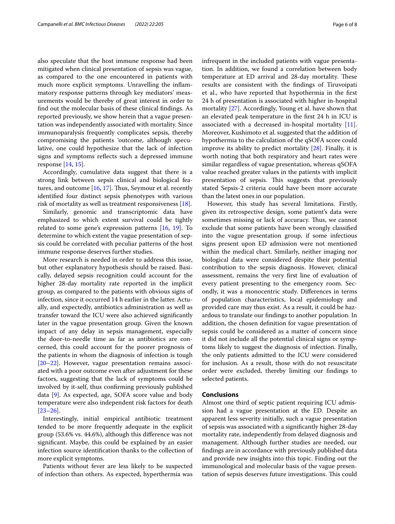also speculate that the host immune response had been mitigated when clinical presentation of sepsis was vague, as compared to the one encountered in patients with much more explicit symptoms. Unravelling the infammatory response patterns through key mediators' measurements would be thereby of great interest in order to fnd out the molecular basis of these clinical fndings. As reported previously, we show herein that a vague presentation was independently associated with mortality. Since immunoparalysis frequently complicates sepsis, thereby compromising the patients 'outcome, although speculative, one could hypothesize that the lack of infection signs and symptoms refects such a depressed immune response [[14](#page-6-16), [15\]](#page-6-17).

Accordingly, cumulative data suggest that there is a strong link between sepsis clinical and biological features, and outcome  $[16, 17]$  $[16, 17]$  $[16, 17]$ . Thus, Seymour et al. recently identifed four distinct sepsis phenotypes with various risk of mortality as well as treatment responsiveness [\[18\]](#page-6-20).

Similarly, genomic and transcriptomic data have emphasized to which extent survival could be tightly related to some gene's expression patterns  $[16, 19]$  $[16, 19]$  $[16, 19]$  $[16, 19]$ . To determine to which extent the vague presentation of sepsis could be correlated with peculiar patterns of the host immune response deserves further studies.

More research is needed in order to address this issue, but other explanatory hypothesis should be raised. Basically, delayed sepsis recognition could account for the higher 28-day mortality rate reported in the implicit group, as compared to the patients with obvious signs of infection, since it occurred 14 h earlier in the latter. Actually, and expectedly, antibiotics administration as well as transfer toward the ICU were also achieved signifcantly later in the vague presentation group. Given the known impact of any delay in sepsis management, especially the door-to-needle time as far as antibiotics are concerned, this could account for the poorer prognosis of the patients in whom the diagnosis of infection is tough [[20–](#page-7-0)[22](#page-7-1)]. However, vague presentation remains associated with a poor outcome even after adjustment for these factors, suggesting that the lack of symptoms could be involved by it-self, thus confrming previously published data [\[9](#page-6-7)]. As expected, age, SOFA score value and body temperature were also independent risk factors for death [[23–](#page-7-2)[26](#page-7-3)].

Interestingly, initial empirical antibiotic treatment tended to be more frequently adequate in the explicit group (53.6% vs. 44.6%), although this diference was not signifcant. Maybe, this could be explained by an easier infection source identifcation thanks to the collection of more explicit symptoms.

Patients without fever are less likely to be suspected of infection than others. As expected, hyperthermia was infrequent in the included patients with vague presentation. In addition, we found a correlation between body temperature at ED arrival and 28-day mortality. These results are consistent with the fndings of Tiruvoipati et al., who have reported that hypothermia in the frst 24 h of presentation is associated with higher in-hospital mortality [[27](#page-7-4)]. Accordingly, Young et al. have shown that an elevated peak temperature in the frst 24 h in ICU is associated with a decreased in-hospital mortality [\[11](#page-6-22)]. Moreover, Kushimoto et al. suggested that the addition of hypothermia to the calculation of the qSOFA score could improve its ability to predict mortality [\[28\]](#page-7-5). Finally, it is worth noting that both respiratory and heart rates were similar regardless of vague presentation, whereas qSOFA value reached greater values in the patients with implicit presentation of sepsis. This suggests that previously stated Sepsis-2 criteria could have been more accurate than the latest ones in our population.

However, this study has several limitations. Firstly, given its retrospective design, some patient's data were sometimes missing or lack of accuracy. Thus, we cannot exclude that some patients have been wrongly classifed into the vague presentation group, if some infectious signs present upon ED admission were not mentioned within the medical chart. Similarly, neither imaging nor biological data were considered despite their potential contribution to the sepsis diagnosis. However, clinical assessment, remains the very frst line of evaluation of every patient presenting to the emergency room. Secondly, it was a monocentric study. Diferences in terms of population characteristics, local epidemiology and provided care may thus exist. As a result, it could be hazardous to translate our fndings to another population. In addition, the chosen defnition for vague presentation of sepsis could be considered as a matter of concern since it did not include all the potential clinical signs or symptoms likely to suggest the diagnosis of infection. Finally, the only patients admitted to the ICU were considered for inclusion. As a result, those with do not resuscitate order were excluded, thereby limiting our fndings to selected patients.

#### **Conclusions**

Almost one third of septic patient requiring ICU admission had a vague presentation at the ED. Despite an apparent less severity initially, such a vague presentation of sepsis was associated with a signifcantly higher 28-day mortality rate, independently from delayed diagnosis and management. Although further studies are needed, our fndings are in accordance with previously published data and provide new insights into this topic. Finding out the immunological and molecular basis of the vague presentation of sepsis deserves future investigations. This could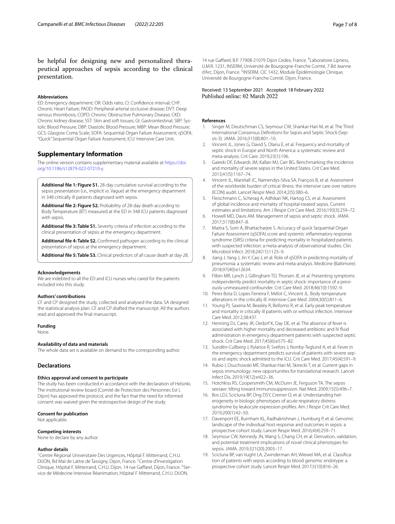be helpful for designing new and personalized therapeutical approaches of sepsis according to the clinical presentation.

#### **Abbreviations**

ED: Emergency department; OR: Odds ratio; CI: Confdence interval; CHF: Chronic Heart Failure; PAOD: Peripheral arterial occlusive disease; DVT: Deep venous thrombosis; COPD: Chronic Obstructive Pulmonary Disease; CKD: Chronic kidney disease; SST: Skin and soft tissues; GI: Gastrointestinal; SBP: Sys‑ tolic Blood Pressure; DBP: Diastolic Blood Pressure; MBP: Mean Blood Pressure; GCS: Glasgow Coma Scale; SOFA: Sequential Organ Failure Assessment; qSOFA: "Quick" Sequential Organ Failure Assessment; ICU: Intensive Care Unit.

#### **Supplementary Information**

The online version contains supplementary material available at [https://doi.](https://doi.org/10.1186/s12879-022-07210-y) [org/10.1186/s12879-022-07210-y.](https://doi.org/10.1186/s12879-022-07210-y)

<span id="page-6-14"></span>**Additional fle 1: Figure S1.** 28-day cumulative survival according to the sepsis presentation (i.e., Implicit *vs*. Vague) at the emergency department in 348 critically ill patients diagnosed with sepsis.

<span id="page-6-10"></span>**Additional fle 2: Figure S2.** Probability of 28-day death according to Body Temperature (BT) measured at the ED in 348 ICU patients diagnosed with sepsis.

<span id="page-6-13"></span><span id="page-6-11"></span>**Additional fle 3: Table S1.** Severity criteria of infection according to the clinical presentation of sepsis at the emergency department.

<span id="page-6-12"></span>**Additional fle 4: Table S2.** Confrmed pathogen according to the clinical presentation of sepsis at the emergency department.

**Additional fle 5: Table S3.** Clinical predictors of all cause death at day-28.

#### **Acknowledgements**

We are indebted to all the ED and ICU nurses who cared for the patients included into this study.

#### **Authors' contributions**

CF and CP designed the study, collected and analysed the data. SA designed the statistical analysis plan. CF and CP drafted the manuscript. All the authors read and approved the fnal manuscript.

#### **Funding**

None.

#### **Availability of data and materials**

The whole data set is available on demand to the corresponding author.

#### **Declarations**

#### **Ethics approval and consent to participate**

The study has been conducted in accordance with the declaration of Helsinki. The institutional review board (Comité de Protection des Personnes Est I, Dijon) has approved the protocol, and the fact that the need for informed consent was waived given the restrospective design of the study.

#### **Consent for publication**

Not applicable.

#### **Competing interests**

None to declare by any author.

#### **Author details**

<sup>1</sup> Centre Régional Universitaire Des Urgences, Hôpital F. Mitterrand, C.H.U. DIJON, Bd Mal de Lattre de Tassigny, Dijon, France. <sup>2</sup> Centre d'Investigation Clinique, Hôpital F. Mitterrand, C.H.U. Dijon, 14 rue Gaffarel, Dijon, France. <sup>3</sup>Service de Médecine Intensive Réanimation, Hôpital F. Mitterrand, C.H.U. DIJON,

14 rue Gaffarel, B.P. 77908-21079 Dijon Cedex, France. <sup>4</sup> Laboratoire Lipness, U.M.R. 1231, INSERM, Université de Bourgogne-Franche Comté, 7 Bd Jeanne d'Arc, Dijon, France. <sup>5</sup>INSERM, CIC 1432, Module Épidémiologie Clinique, Université de Bourgogne-Franche Comté, Dijon, France.

### Received: 13 September 2021 Accepted: 18 February 2022<br>Published online: 02 March 2022

#### **References**

- <span id="page-6-0"></span>1. Singer M, Deutschman CS, Seymour CW, Shankar-Hari M, et al. The Third International Consensus Definitions for Sepsis and Septic Shock (Sepsis-3). JAMA. 2016;315(8):801–10.
- <span id="page-6-1"></span>2. Vincent JL, Jones G, David S, Olariu E, et al. Frequency and mortality of septic shock in Europe and North America: a systematic review and meta-analysis. Crit Care. 2019;23(1):196.
- <span id="page-6-2"></span>3. Gaieski DF, Edwards JM, Kallan MJ, Carr BG. Benchmarking the incidence and mortality of severe sepsis in the United States. Crit Care Med. 2013;41(5):1167–74.
- 4. Vincent JL, Marshall JC, Namendys-Silva SA, François B, et al. Assessment of the worldwide burden of critical illness: the intensive care over nations (ICON) audit. Lancet Respir Med. 2014;2(5):380–6.
- <span id="page-6-3"></span>5. Fleischmann C, Scherag A, Adhikari NK, Hartog CS, et al. Assessment of global incidence and mortality of hospital-treated sepsis. Current estimates and limitations. Am J Respir Crit Care Med. 2016;193(3):259–72.
- <span id="page-6-4"></span>6. Howell MD, Davis AM. Management of sepsis and septic shock. JAMA. 2017;317(8):847–8.
- <span id="page-6-5"></span>7. Maitra S, Som A, Bhattacharjee S. Accuracy of quick Sequential Organ Failure Assessment (qSOFA) score and systemic infammatory response syndrome (SIRS) criteria for predicting mortality in hospitalized patients with suspected infection: a meta-analysis of observational studies. Clin Microbiol Infect. 2018;24(11):1123–9.
- <span id="page-6-6"></span>8. Jiang J, Yang J, Jin Y, Cao J, et al. Role of qSOFA in predicting mortality of pneumonia: a systematic review and meta-analysis. Medicine (Baltimore). 2018;97(40):e12634.
- <span id="page-6-7"></span>9. Filbin MR, Lynch J, Gillingham TD, Thorsen JE, et al. Presenting symptoms independently predict mortality in septic shock: importance of a previously unmeasured confounder. Crit Care Med. 2018;46(10):1592–9.
- <span id="page-6-8"></span>10. Peres Bota D, Lopes Ferreira F, Mélot C, Vincent JL. Body temperature alterations in the critically ill. Intensive Care Med. 2004;30(5):811–6.
- <span id="page-6-22"></span>11. Young PJ, Saxena M, Beasley R, Bellomo R, et al. Early peak temperature and mortality in critically ill patients with or without infection. Intensive Care Med. 2012;38:437.
- <span id="page-6-9"></span>12. Henning DJ, Carey JR, Oedorf K, Day DE, et al. The absence of fever is associated with higher mortality and decreased antibiotic and IV fuid administration in emergency department patients with suspected septic shock. Crit Care Med. 2017;45(6):e575–82.
- <span id="page-6-15"></span>13. Sundén-Cullberg J, Rylance R, Svefors J, Norrby-Teglund A, et al. Fever in the emergency department predicts survival of patients with severe sepsis and septic shock admitted to the ICU. Crit Care Med. 2017;45(4):591–9.
- <span id="page-6-16"></span>14. Rubio I, Osuchowski MF, Shankar-Hari M, Skirecki T, et al. Current gaps in sepsis immunology: new opportunities for translational research. Lancet Infect Dis. 2019;19(12):e422–36.
- <span id="page-6-17"></span>15. Hotchkiss RS, Coopersmith CM, McDunn JE, Ferguson TA. The sepsis seesaw: tilting toward immunosuppression. Nat Med. 2009;15(5):496–7.
- <span id="page-6-18"></span>16. Bos LDJ, Scicluna BP, Ong DSY, Cremer O, et al. Understanding heterogeneity in biologic phenotypes of acute respiratory distress syndrome by leukocyte expression profles. Am J Respir Crit Care Med. 2019;200(1):42–50.
- <span id="page-6-19"></span>17. Davenport EE, Burnham KL, Radhakrishnan J, Humburg P, et al. Genomic landscape of the individual host response and outcomes in sepsis: a prospective cohort study. Lancet Respir Med. 2016;4(4):259–71.
- <span id="page-6-20"></span>18. Seymour CW, Kennedy JN, Wang S, Chang CH, et al. Derivation, validation, and potential treatment implications of novel clinical phenotypes for sepsis. JAMA. 2019;321(20):2003–17.
- <span id="page-6-21"></span>19. Scicluna BP, van Vught LA, Zwinderman AH, Wiewel MA, et al. Classification of patients with sepsis according to blood genomic endotype: a prospective cohort study. Lancet Respir Med. 2017;5(10):816–26.